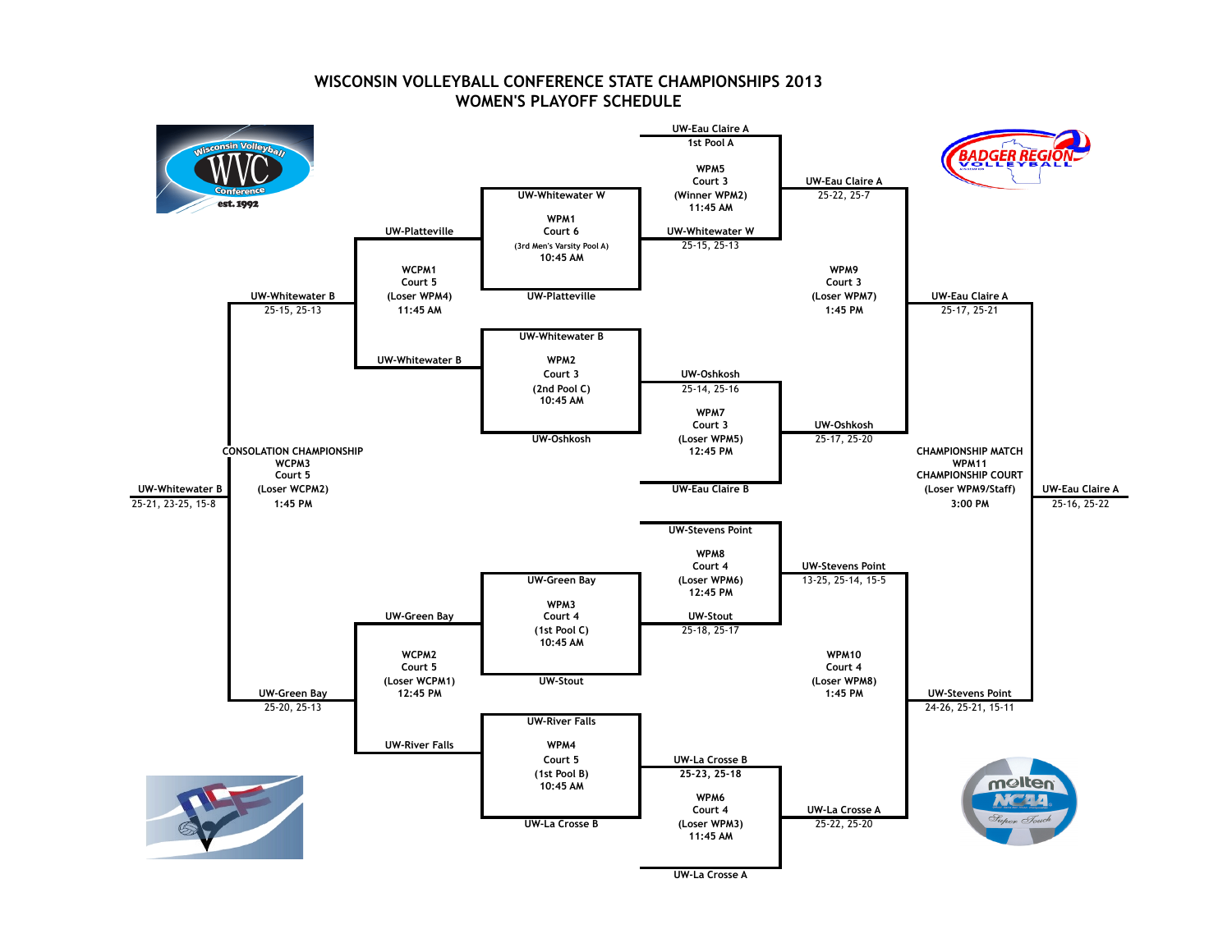

## **WISCONSIN VOLLEYBALL CONFERENCE STATE CHAMPIONSHIPS 2013 WOMEN'S PLAYOFF SCHEDULE**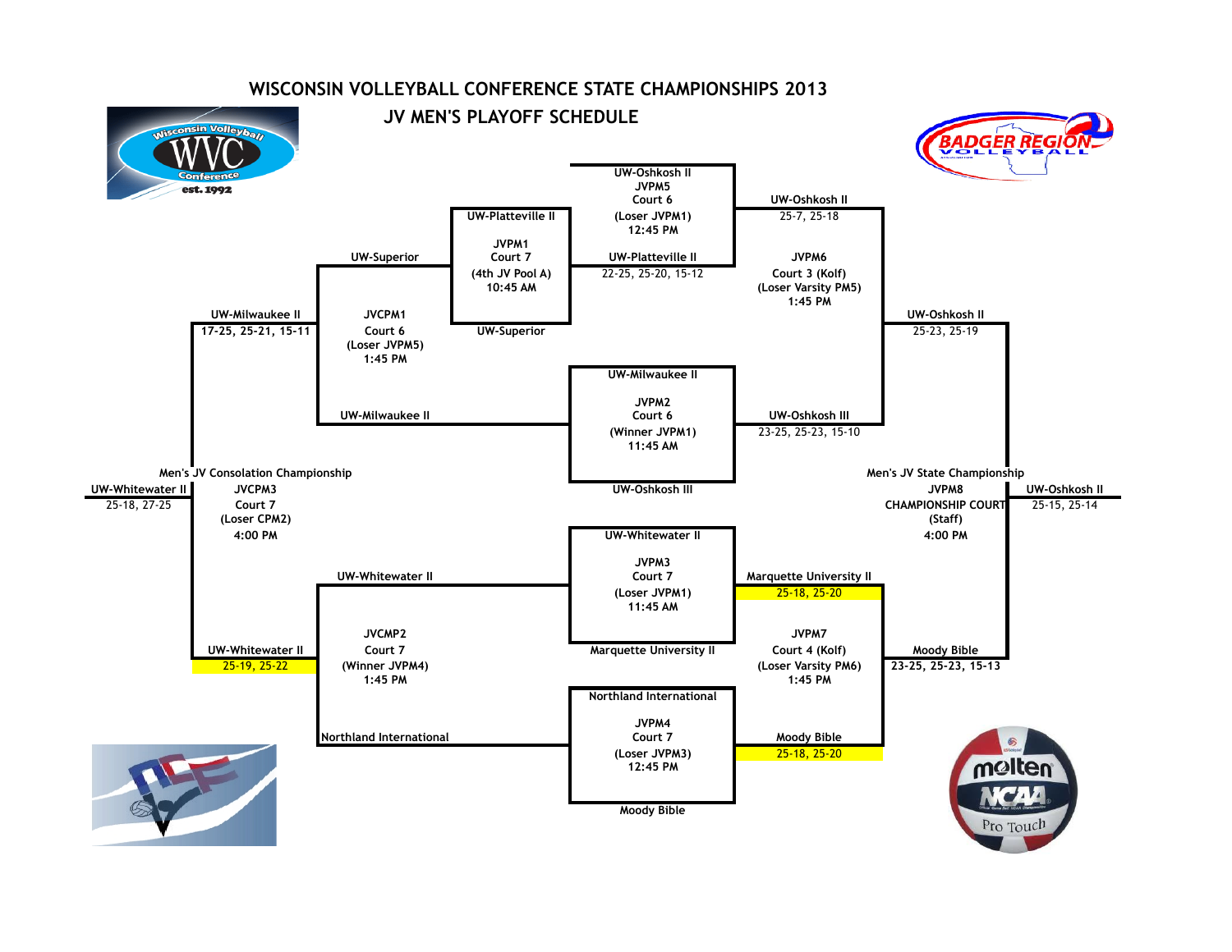

## **WISCONSIN VOLLEYBALL CONFERENCE STATE CHAMPIONSHIPS 2013**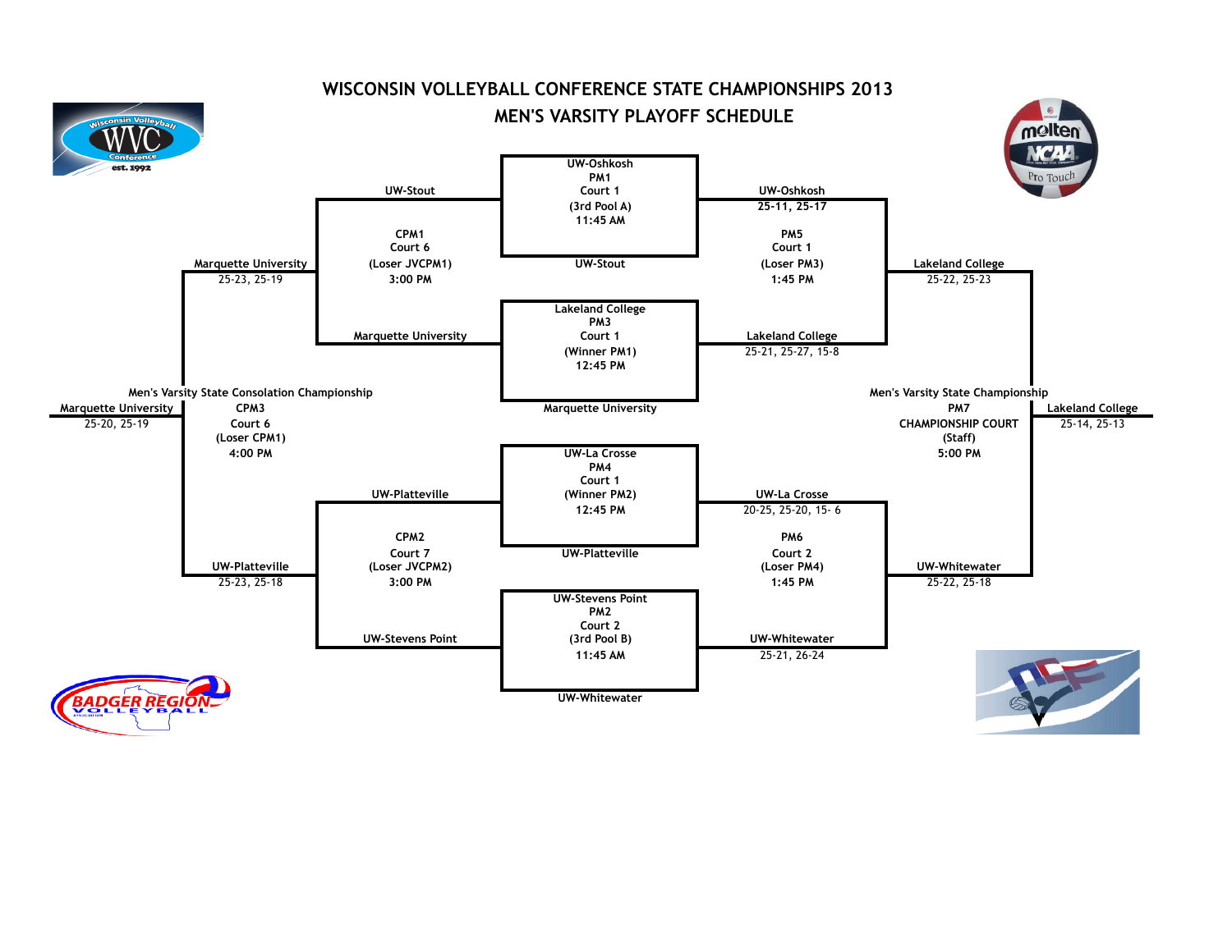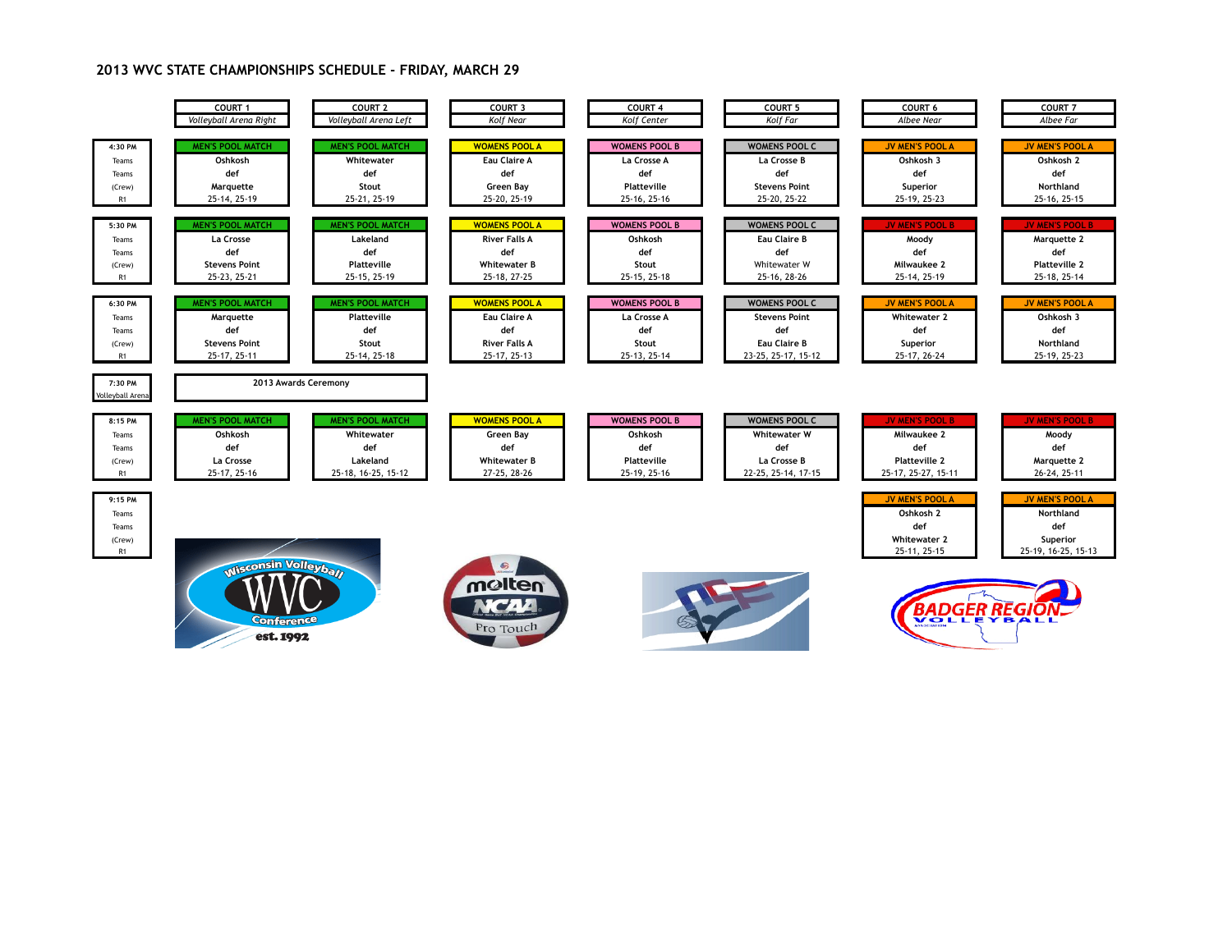## **2013 WVC STATE CHAMPIONSHIPS SCHEDULE - FRIDAY, MARCH 29**

|                                                              | COURT 1                 | COURT <sub>2</sub>      | COURT 3              | COURT <sub>4</sub>   | <b>COURT 5</b>       | <b>COURT 6</b>                                                                    | <b>COURT 7</b>                                                                |
|--------------------------------------------------------------|-------------------------|-------------------------|----------------------|----------------------|----------------------|-----------------------------------------------------------------------------------|-------------------------------------------------------------------------------|
|                                                              | Volleyball Arena Right  | Volleyball Arena Left   | Kolf Near            | Kolf Center          | Kolf Far             | Albee Near                                                                        | Albee Far                                                                     |
| 4:30 PM                                                      | <b>MEN'S POOL MATCH</b> | <b>MEN'S POOL MATCH</b> | <b>WOMENS POOL A</b> | <b>WOMENS POOL B</b> | <b>WOMENS POOL C</b> | <b>JV MEN'S POOL A</b>                                                            | <b>JV MEN'S POOL A</b>                                                        |
| Teams                                                        | Oshkosh                 | Whitewater              | Eau Claire A         | La Crosse A          | La Crosse B          | Oshkosh 3                                                                         | Oshkosh 2                                                                     |
| Teams                                                        | def                     | def                     | def                  | def                  | def                  | def                                                                               | def                                                                           |
| (Crew)                                                       | Marquette               | Stout                   | Green Bay            | Platteville          | <b>Stevens Point</b> | Superior                                                                          | Northland                                                                     |
| R1                                                           | 25-14, 25-19            | 25-21, 25-19            | 25-20, 25-19         | 25-16, 25-16         | 25-20, 25-22         | 25-19, 25-23                                                                      | 25-16, 25-15                                                                  |
| 5:30 PM                                                      | <b>MEN'S POOL MATCH</b> | <b>MEN'S POOL MATCH</b> | <b>WOMENS POOL A</b> | <b>WOMENS POOL B</b> | <b>WOMENS POOL C</b> | <b>JV MEN'S POOL B</b>                                                            | <b>JV MEN'S POOL B</b>                                                        |
| Teams                                                        | La Crosse               | Lakeland                | <b>River Falls A</b> | Oshkosh              | Eau Claire B         | Moody                                                                             | Marquette 2                                                                   |
| Teams                                                        | def                     | def                     | def                  | def                  | def                  | def                                                                               | def                                                                           |
| (Crew)                                                       | <b>Stevens Point</b>    | <b>Platteville</b>      | <b>Whitewater B</b>  | Stout                | Whitewater W         | Milwaukee 2                                                                       | <b>Platteville 2</b>                                                          |
| R1                                                           | 25-23, 25-21            | 25-15, 25-19            | 25-18, 27-25         | 25-15, 25-18         | 25-16, 28-26         | 25-14, 25-19                                                                      | 25-18, 25-14                                                                  |
| 6:30 PM                                                      | <b>MEN'S POOL MATCH</b> | <b>MEN'S POOL MATCH</b> | <b>WOMENS POOL A</b> | <b>WOMENS POOL B</b> | <b>WOMENS POOL C</b> | <b>JV MEN'S POOL A</b>                                                            | <b>JV MEN'S POOL A</b>                                                        |
| Teams                                                        | Marquette               | Platteville             | <b>Eau Claire A</b>  | <b>La Crosse A</b>   | <b>Stevens Point</b> | <b>Whitewater 2</b>                                                               | Oshkosh 3                                                                     |
| Teams                                                        | def                     | def                     | def                  | def                  | def                  | def                                                                               | def                                                                           |
| (Crew)                                                       | <b>Stevens Point</b>    | Stout                   | <b>River Falls A</b> | Stout                | Eau Claire B         | Superior                                                                          | Northland                                                                     |
| R <sub>1</sub>                                               | 25-17, 25-11            | 25-14, 25-18            | 25-17, 25-13         | 25-13, 25-14         | 23-25, 25-17, 15-12  | 25-17, 26-24                                                                      | 25-19, 25-23                                                                  |
| 7:30 PM<br>olleyball Arena                                   | 2013 Awards Ceremony    |                         |                      |                      |                      |                                                                                   |                                                                               |
| 8:15 PM                                                      | <b>MEN'S POOL MATCH</b> | <b>MEN'S POOL MATCH</b> | <b>WOMENS POOL A</b> | <b>WOMENS POOL B</b> | <b>WOMENS POOL C</b> | <b>JV MEN'S POOL B</b>                                                            | <b>JV MEN'S POOL B</b>                                                        |
| Teams                                                        | Oshkosh                 | Whitewater              | Green Bay            | Oshkosh              | <b>Whitewater W</b>  | Milwaukee 2                                                                       | Moody                                                                         |
| Teams                                                        | def                     | def                     | def                  | def                  | def                  | def                                                                               | def                                                                           |
| (Crew)                                                       | La Crosse               | Lakeland                | <b>Whitewater B</b>  | Platteville          | La Crosse B          | <b>Platteville 2</b>                                                              | Marquette 2                                                                   |
| R1                                                           | 25-17, 25-16            | 25-18, 16-25, 15-12     | 27-25, 28-26         | 25-19, 25-16         | 22-25, 25-14, 17-15  | 25-17, 25-27, 15-11                                                               | 26-24, 25-11                                                                  |
| 9:15 PM<br>Teams<br>Teams<br>(Crew)<br>R1                    |                         |                         | $\circledcirc$       |                      |                      | <b>JV MEN'S POOL A</b><br>Oshkosh 2<br>def<br><b>Whitewater 2</b><br>25-11, 25-15 | <b>JV MEN'S POOL A</b><br>Northland<br>def<br>Superior<br>25-19, 16-25, 15-13 |
| <b>Misconsin Volleybay</b><br><b>Conference</b><br>est. 1992 |                         |                         | molten<br>Pro Touch  |                      |                      | <u>BADGER REGIO</u>                                                               |                                                                               |